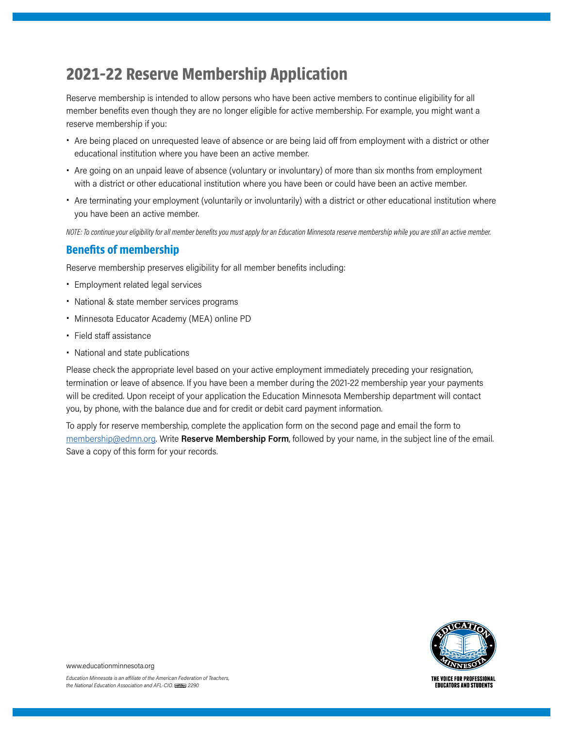# **2021-22 Reserve Membership Application**

Reserve membership is intended to allow persons who have been active members to continue eligibility for all member benefits even though they are no longer eligible for active membership. For example, you might want a reserve membership if you:

- Are being placed on unrequested leave of absence or are being laid off from employment with a district or other educational institution where you have been an active member.
- Are going on an unpaid leave of absence (voluntary or involuntary) of more than six months from employment with a district or other educational institution where you have been or could have been an active member.
- Are terminating your employment (voluntarily or involuntarily) with a district or other educational institution where you have been an active member.

*NOTE: To continue your eligibility for all member benefits you must apply for an Education Minnesota reserve membership while you are still an active member.*

#### **Benefits of membership**

Reserve membership preserves eligibility for all member benefits including:

- Employment related legal services
- National & state member services programs
- Minnesota Educator Academy (MEA) online PD
- Field staff assistance
- National and state publications

Please check the appropriate level based on your active employment immediately preceding your resignation, termination or leave of absence. If you have been a member during the 2021-22 membership year your payments will be credited. Upon receipt of your application the Education Minnesota Membership department will contact you, by phone, with the balance due and for credit or debit card payment information.

To apply for reserve membership, complete the application form on the second page and email the form to [membership@edmn.org](mailto:membership@edmn.org). Write **Reserve Membership Form**, followed by your name, in the subject line of the email. Save a copy of this form for your records.



THE VOICE FOR PROFESSIONAL **EDUCATORS AND STUDENTS** 

www.educationminnesota.org